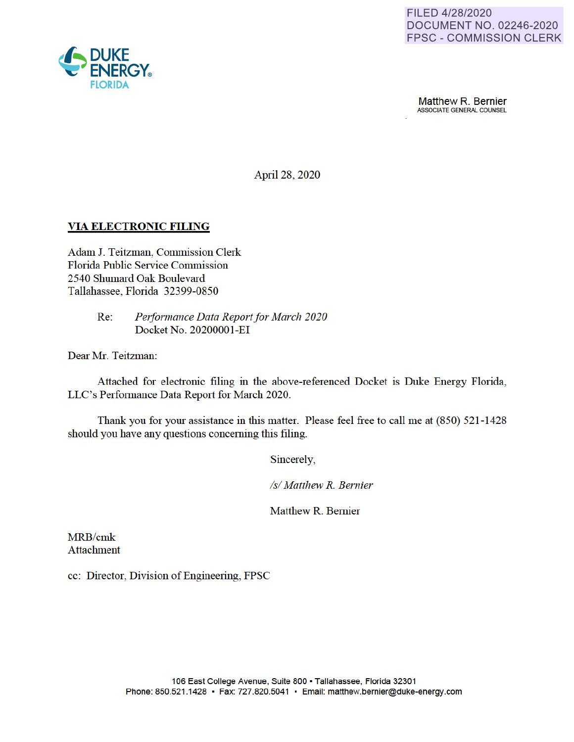

**Matthew R. Bernier**<br>ASSOCIATE GENERAL COUNSEL

April 28, 2020

#### **VIA ELECTRONIC FILING**

Adam J. Teitzman, Commission Clerk Florida Public Service Commission 2540 Shumard Oak Boulevard Tallahassee, Florida 32399-0850

> Re: *Performance Data Report for March 2020*  Docket No. 20200001-EI

Dear Mr. Teitzman:

Attached for electronic filing in the above-referenced Docket is Duke Energy Florida, LLC's Performance Data Report for March 2020.

Thank you for your assistance in this matter. Please feel free to call me at (850) 521-1428 should you have any questions concerning this filing.

Sincerely,

*Isl Matthew R. Bernier* 

Matthew R. Bernier

MRB/cmk Attachment

cc: Director, Division of Engineering, FPSC

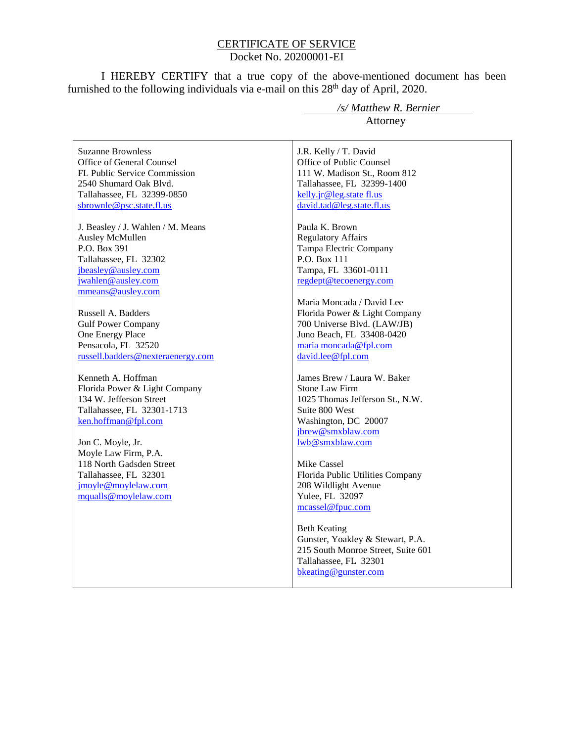#### CERTIFICATE OF SERVICE Docket No. 20200001-EI

I HEREBY CERTIFY that a true copy of the above-mentioned document has been furnished to the following individuals via e-mail on this  $28<sup>th</sup>$  day of April, 2020.

Suzanne Brownless Office of General Counsel FL Public Service Commission 2540 Shumard Oak Blvd. Tallahassee, FL 32399-0850 sbrownle@psc.state.fl.us

J. Beasley / J. Wahlen / M. Means Ausley McMullen P.O. Box 391 Tallahassee, FL 32302 jbeasley@ausley.com jwahlen@ausley.com mmeans@ausley.com

Russell A. Badders Gulf Power Company One Energy Place Pensacola, FL 32520 russell.badders@nexteraenergy.com

Kenneth A. Hoffman Florida Power & Light Company 134 W. Jefferson Street Tallahassee, FL 32301-1713 ken.hoffman@fpl.com

Jon C. Moyle, Jr. Moyle Law Firm, P.A. 118 North Gadsden Street Tallahassee, FL 32301 jmoyle@moylelaw.com mqualls@moylelaw.com

 */s/ Matthew R. Bernier* Attorney

J.R. Kelly / T. David Office of Public Counsel 111 W. Madison St., Room 812 Tallahassee, FL 32399-1400 kelly.jr@leg.state fl.us david.tad@leg.state.fl.us

Paula K. Brown Regulatory Affairs Tampa Electric Company P.O. Box 111 Tampa, FL 33601-0111 regdept@tecoenergy.com

Maria Moncada / David Lee Florida Power & Light Company 700 Universe Blvd. (LAW/JB) Juno Beach, FL 33408-0420 maria moncada@fpl.com david.lee@fpl.com

James Brew / Laura W. Baker Stone Law Firm 1025 Thomas Jefferson St., N.W. Suite 800 West Washington, DC 20007 jbrew@smxblaw.com lwb@smxblaw.com

Mike Cassel Florida Public Utilities Company 208 Wildlight Avenue Yulee, FL 32097 mcassel@fpuc.com

Beth Keating Gunster, Yoakley & Stewart, P.A. 215 South Monroe Street, Suite 601 Tallahassee, FL 32301 bkeating@gunster.com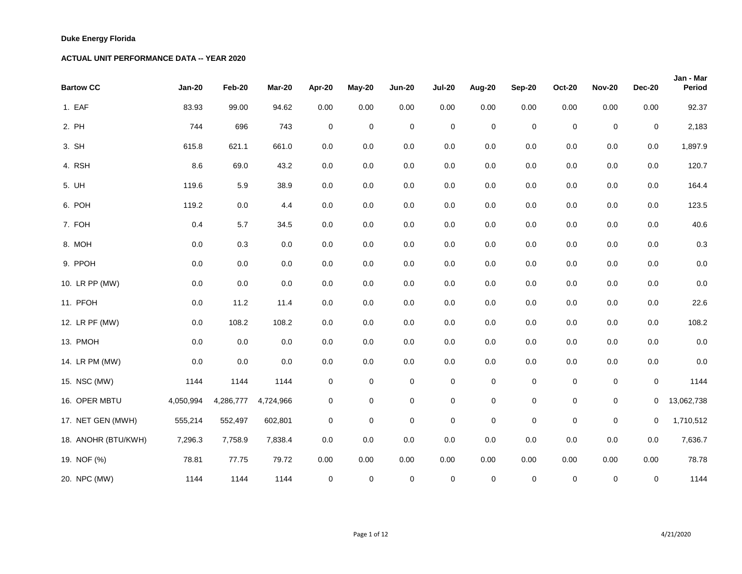| <b>Bartow CC</b>    | <b>Jan-20</b> | Feb-20    | <b>Mar-20</b> | Apr-20           | May-20         | <b>Jun-20</b>  | <b>Jul-20</b> | Aug-20         | <b>Sep-20</b>  | <b>Oct-20</b>    | <b>Nov-20</b>    | <b>Dec-20</b>  | Jan - Mar<br><b>Period</b> |
|---------------------|---------------|-----------|---------------|------------------|----------------|----------------|---------------|----------------|----------------|------------------|------------------|----------------|----------------------------|
| 1. EAF              | 83.93         | 99.00     | 94.62         | 0.00             | 0.00           | 0.00           | 0.00          | 0.00           | 0.00           | 0.00             | 0.00             | 0.00           | 92.37                      |
| 2. PH               | 744           | 696       | 743           | $\mathbf 0$      | $\pmb{0}$      | $\mathbf 0$    | $\mathbf 0$   | $\pmb{0}$      | $\overline{0}$ | $\pmb{0}$        | $\boldsymbol{0}$ | $\overline{0}$ | 2,183                      |
| 3. SH               | 615.8         | 621.1     | 661.0         | 0.0              | $0.0\,$        | 0.0            | 0.0           | 0.0            | 0.0            | 0.0              | $0.0\,$          | 0.0            | 1,897.9                    |
| 4. RSH              | 8.6           | 69.0      | 43.2          | 0.0              | $0.0\,$        | $0.0\,$        | 0.0           | $0.0\,$        | 0.0            | 0.0              | $0.0\,$          | $0.0\,$        | 120.7                      |
| 5. UH               | 119.6         | 5.9       | 38.9          | 0.0              | $0.0\,$        | $0.0\,$        | 0.0           | 0.0            | 0.0            | 0.0              | $0.0\,$          | 0.0            | 164.4                      |
| 6. POH              | 119.2         | 0.0       | 4.4           | 0.0              | 0.0            | $0.0\,$        | 0.0           | 0.0            | 0.0            | 0.0              | $0.0\,$          | 0.0            | 123.5                      |
| 7. FOH              | 0.4           | 5.7       | 34.5          | 0.0              | $0.0\,$        | $0.0\,$        | 0.0           | $0.0\,$        | 0.0            | 0.0              | $0.0\,$          | 0.0            | 40.6                       |
| 8. MOH              | 0.0           | 0.3       | 0.0           | 0.0              | $0.0\,$        | $0.0\,$        | 0.0           | $0.0\,$        | 0.0            | 0.0              | 0.0              | $0.0\,$        | 0.3                        |
| 9. PPOH             | 0.0           | 0.0       | 0.0           | 0.0              | $0.0\,$        | $0.0\,$        | 0.0           | $0.0\,$        | 0.0            | 0.0              | $0.0\,$          | $0.0\,$        | 0.0                        |
| 10. LR PP (MW)      | 0.0           | 0.0       | 0.0           | 0.0              | $0.0\,$        | $0.0\,$        | 0.0           | $0.0\,$        | 0.0            | 0.0              | 0.0              | 0.0            | 0.0                        |
| 11. PFOH            | 0.0           | 11.2      | 11.4          | 0.0              | $0.0\,$        | $0.0\,$        | 0.0           | 0.0            | 0.0            | 0.0              | $0.0\,$          | $0.0\,$        | 22.6                       |
| 12. LR PF (MW)      | $0.0\,$       | 108.2     | 108.2         | 0.0              | 0.0            | $0.0\,$        | 0.0           | 0.0            | 0.0            | 0.0              | $0.0\,$          | $0.0\,$        | 108.2                      |
| 13. PMOH            | 0.0           | 0.0       | 0.0           | 0.0              | $0.0\,$        | 0.0            | 0.0           | $0.0\,$        | 0.0            | 0.0              | 0.0              | 0.0            | 0.0                        |
| 14. LR PM (MW)      | 0.0           | 0.0       | 0.0           | 0.0              | 0.0            | 0.0            | 0.0           | $0.0\,$        | 0.0            | 0.0              | 0.0              | 0.0            | 0.0                        |
| 15. NSC (MW)        | 1144          | 1144      | 1144          | $\mathbf 0$      | $\mathbf{0}$   | $\overline{0}$ | $\mathbf 0$   | $\overline{0}$ | $\overline{0}$ | $\pmb{0}$        | $\mathbf 0$      | $\overline{0}$ | 1144                       |
| 16. OPER MBTU       | 4,050,994     | 4,286,777 | 4,724,966     | $\overline{0}$   | $\overline{0}$ | $\overline{0}$ | $\mathbf 0$   | $\overline{0}$ | $\overline{0}$ | $\pmb{0}$        | $\mathbf 0$      | $\overline{0}$ | 13,062,738                 |
| 17. NET GEN (MWH)   | 555,214       | 552,497   | 602,801       | $\mathbf 0$      | $\mathbf 0$    | $\mathbf 0$    | $\mathbf 0$   | $\pmb{0}$      | $\overline{0}$ | $\pmb{0}$        | $\mathbf 0$      | $\overline{0}$ | 1,710,512                  |
| 18. ANOHR (BTU/KWH) | 7,296.3       | 7,758.9   | 7,838.4       | 0.0              | 0.0            | $0.0\,$        | 0.0           | 0.0            | $0.0\,$        | 0.0              | 0.0              | 0.0            | 7,636.7                    |
| 19. NOF (%)         | 78.81         | 77.75     | 79.72         | 0.00             | 0.00           | 0.00           | 0.00          | 0.00           | 0.00           | 0.00             | 0.00             | 0.00           | 78.78                      |
| 20. NPC (MW)        | 1144          | 1144      | 1144          | $\boldsymbol{0}$ | $\overline{0}$ | $\overline{0}$ | $\mathbf 0$   | $\overline{0}$ | $\overline{0}$ | $\boldsymbol{0}$ | $\overline{0}$   | $\overline{0}$ | 1144                       |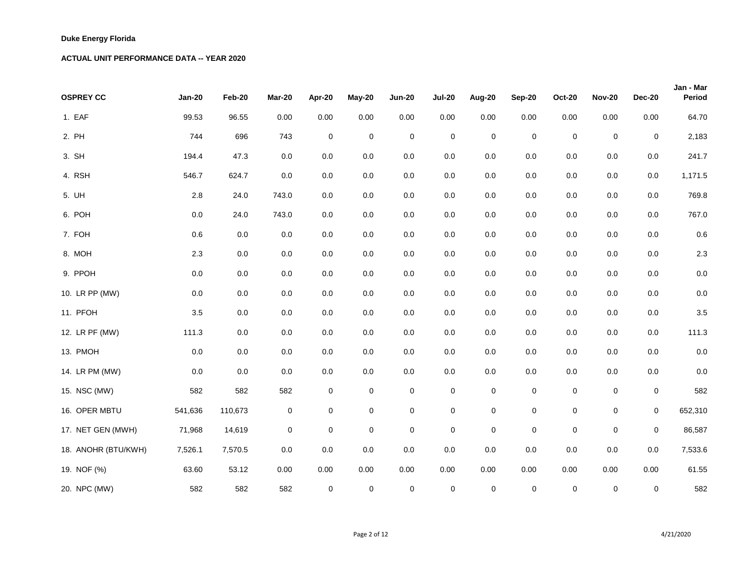| <b>OSPREY CC</b>    | <b>Jan-20</b> | Feb-20  | <b>Mar-20</b> | Apr-20           | May-20         | <b>Jun-20</b>  | <b>Jul-20</b>    | Aug-20       | <b>Sep-20</b>  | <b>Oct-20</b>    | <b>Nov-20</b> | <b>Dec-20</b>  | Jan - Mar<br><b>Period</b> |
|---------------------|---------------|---------|---------------|------------------|----------------|----------------|------------------|--------------|----------------|------------------|---------------|----------------|----------------------------|
| 1. EAF              | 99.53         | 96.55   | 0.00          | 0.00             | 0.00           | 0.00           | 0.00             | 0.00         | 0.00           | 0.00             | 0.00          | 0.00           | 64.70                      |
| 2. PH               | 744           | 696     | 743           | $\mathbf 0$      | $\pmb{0}$      | $\overline{0}$ | $\mathbf 0$      | $\pmb{0}$    | $\overline{0}$ | $\pmb{0}$        | $\pmb{0}$     | $\overline{0}$ | 2,183                      |
| 3. SH               | 194.4         | 47.3    | 0.0           | 0.0              | $0.0\,$        | $0.0\,$        | 0.0              | 0.0          | $0.0\,$        | 0.0              | $0.0\,$       | 0.0            | 241.7                      |
| 4. RSH              | 546.7         | 624.7   | 0.0           | 0.0              | $0.0\,$        | $0.0\,$        | 0.0              | 0.0          | $0.0\,$        | 0.0              | $0.0\,$       | 0.0            | 1,171.5                    |
| 5. UH               | 2.8           | 24.0    | 743.0         | 0.0              | $0.0\,$        | $0.0\,$        | 0.0              | 0.0          | $0.0\,$        | 0.0              | $0.0\,$       | 0.0            | 769.8                      |
| 6. POH              | 0.0           | 24.0    | 743.0         | 0.0              | $0.0\,$        | 0.0            | 0.0              | 0.0          | 0.0            | 0.0              | 0.0           | 0.0            | 767.0                      |
| 7. FOH              | 0.6           | 0.0     | 0.0           | 0.0              | 0.0            | 0.0            | 0.0              | 0.0          | 0.0            | 0.0              | $0.0\,$       | 0.0            | 0.6                        |
| 8. MOH              | 2.3           | 0.0     | 0.0           | 0.0              | $0.0\,$        | 0.0            | 0.0              | 0.0          | 0.0            | 0.0              | 0.0           | 0.0            | 2.3                        |
| 9. PPOH             | $0.0\,$       | 0.0     | 0.0           | 0.0              | $0.0\,$        | 0.0            | 0.0              | 0.0          | $0.0\,$        | 0.0              | 0.0           | 0.0            | 0.0                        |
| 10. LR PP (MW)      | 0.0           | 0.0     | 0.0           | 0.0              | $0.0\,$        | $0.0\,$        | 0.0              | 0.0          | $0.0\,$        | 0.0              | $0.0\,$       | 0.0            | 0.0                        |
| 11. PFOH            | 3.5           | 0.0     | 0.0           | 0.0              | $0.0\,$        | 0.0            | 0.0              | 0.0          | $0.0\,$        | 0.0              | 0.0           | 0.0            | 3.5                        |
| 12. LR PF (MW)      | 111.3         | 0.0     | 0.0           | 0.0              | $0.0\,$        | $0.0\,$        | 0.0              | 0.0          | $0.0\,$        | 0.0              | $0.0\,$       | 0.0            | 111.3                      |
| 13. PMOH            | $0.0\,$       | 0.0     | 0.0           | 0.0              | $0.0\,$        | 0.0            | 0.0              | $0.0\,$      | 0.0            | 0.0              | 0.0           | 0.0            | 0.0                        |
| 14. LR PM (MW)      | 0.0           | $0.0\,$ | $0.0\,$       | 0.0              | 0.0            | $0.0\,$        | 0.0              | 0.0          | $0.0\,$        | 0.0              | 0.0           | $0.0\,$        | 0.0                        |
| 15. NSC (MW)        | 582           | 582     | 582           | $\mathbf 0$      | $\mathbf{O}$   | $\overline{0}$ | $\pmb{0}$        | $\mathbf 0$  | $\overline{0}$ | $\boldsymbol{0}$ | $\mathbf 0$   | $\mathbf 0$    | 582                        |
| 16. OPER MBTU       | 541,636       | 110,673 | $\pmb{0}$     | $\pmb{0}$        | $\overline{0}$ | $\overline{0}$ | $\mathbf 0$      | $\mathbf 0$  | $\overline{0}$ | $\mathbf 0$      | $\mathbf 0$   | $\overline{0}$ | 652,310                    |
| 17. NET GEN (MWH)   | 71,968        | 14,619  | $\pmb{0}$     | $\boldsymbol{0}$ | $\overline{0}$ | $\overline{0}$ | $\boldsymbol{0}$ | $\pmb{0}$    | $\overline{0}$ | $\mathbf 0$      | $\pmb{0}$     | $\overline{0}$ | 86,587                     |
| 18. ANOHR (BTU/KWH) | 7,526.1       | 7,570.5 | 0.0           | 0.0              | $0.0\,$        | $0.0\,$        | 0.0              | $0.0\,$      | $0.0\,$        | 0.0              | $0.0\,$       | $0.0\,$        | 7,533.6                    |
| 19. NOF (%)         | 63.60         | 53.12   | 0.00          | 0.00             | 0.00           | 0.00           | 0.00             | 0.00         | 0.00           | 0.00             | 0.00          | 0.00           | 61.55                      |
| 20. NPC (MW)        | 582           | 582     | 582           | $\overline{0}$   | $\overline{0}$ | $\overline{0}$ | $\mathbf 0$      | $\mathbf{0}$ | $\overline{0}$ | $\mathbf 0$      | $\mathbf 0$   | $\overline{0}$ | 582                        |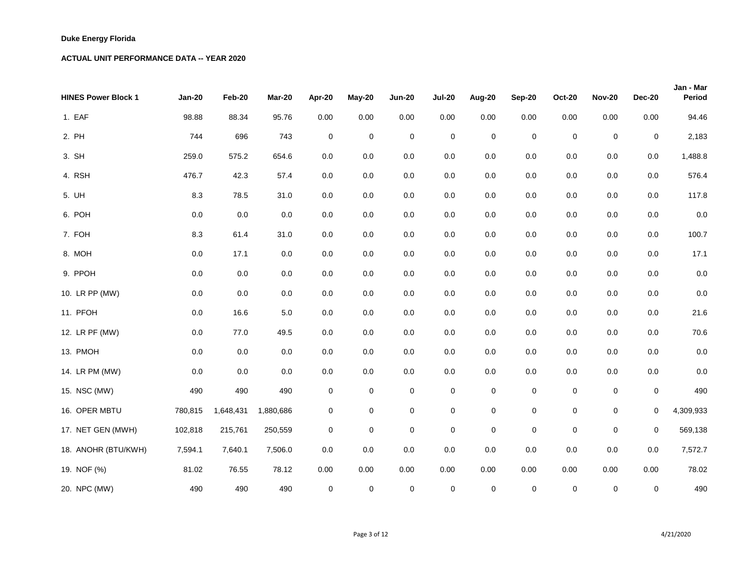| <b>HINES Power Block 1</b> | <b>Jan-20</b> | Feb-20    | <b>Mar-20</b> | Apr-20           | May-20         | <b>Jun-20</b>  | <b>Jul-20</b>    | Aug-20         | <b>Sep-20</b>  | <b>Oct-20</b> | <b>Nov-20</b>    | <b>Dec-20</b>  | Jan - Mar<br><b>Period</b> |
|----------------------------|---------------|-----------|---------------|------------------|----------------|----------------|------------------|----------------|----------------|---------------|------------------|----------------|----------------------------|
| 1. EAF                     | 98.88         | 88.34     | 95.76         | 0.00             | 0.00           | 0.00           | 0.00             | 0.00           | 0.00           | 0.00          | 0.00             | 0.00           | 94.46                      |
| 2. PH                      | 744           | 696       | 743           | $\mathbf 0$      | $\pmb{0}$      | $\overline{0}$ | $\mathbf 0$      | $\pmb{0}$      | $\overline{0}$ | $\pmb{0}$     | $\pmb{0}$        | $\overline{0}$ | 2,183                      |
| 3. SH                      | 259.0         | 575.2     | 654.6         | 0.0              | $0.0\,$        | $0.0\,$        | 0.0              | 0.0            | $0.0\,$        | 0.0           | $0.0\,$          | 0.0            | 1,488.8                    |
| 4. RSH                     | 476.7         | 42.3      | 57.4          | 0.0              | 0.0            | 0.0            | 0.0              | 0.0            | 0.0            | 0.0           | 0.0              | 0.0            | 576.4                      |
| 5. UH                      | 8.3           | 78.5      | 31.0          | 0.0              | 0.0            | $0.0\,$        | 0.0              | 0.0            | 0.0            | 0.0           | $0.0\,$          | 0.0            | 117.8                      |
| 6. POH                     | $0.0\,$       | 0.0       | 0.0           | 0.0              | 0.0            | 0.0            | 0.0              | 0.0            | 0.0            | 0.0           | 0.0              | 0.0            | 0.0                        |
| 7. FOH                     | 8.3           | 61.4      | 31.0          | 0.0              | 0.0            | $0.0\,$        | 0.0              | 0.0            | 0.0            | 0.0           | $0.0\,$          | 0.0            | 100.7                      |
| 8. MOH                     | $0.0\,$       | 17.1      | 0.0           | 0.0              | $0.0\,$        | 0.0            | 0.0              | 0.0            | $0.0\,$        | 0.0           | $0.0\,$          | 0.0            | 17.1                       |
| 9. PPOH                    | $0.0\,$       | 0.0       | 0.0           | 0.0              | $0.0\,$        | 0.0            | 0.0              | 0.0            | 0.0            | 0.0           | $0.0\,$          | 0.0            | 0.0                        |
| 10. LR PP (MW)             | $0.0\,$       | 0.0       | 0.0           | 0.0              | $0.0\,$        | $0.0\,$        | 0.0              | 0.0            | $0.0\,$        | 0.0           | $0.0\,$          | 0.0            | 0.0                        |
| 11. PFOH                   | 0.0           | 16.6      | 5.0           | 0.0              | $0.0\,$        | $0.0\,$        | 0.0              | 0.0            | 0.0            | 0.0           | 0.0              | 0.0            | 21.6                       |
| 12. LR PF (MW)             | $0.0\,$       | 77.0      | 49.5          | 0.0              | $0.0\,$        | $0.0\,$        | 0.0              | 0.0            | $0.0\,$        | 0.0           | $0.0\,$          | 0.0            | 70.6                       |
| 13. PMOH                   | 0.0           | 0.0       | 0.0           | 0.0              | 0.0            | 0.0            | 0.0              | 0.0            | 0.0            | 0.0           | 0.0              | 0.0            | 0.0                        |
| 14. LR PM (MW)             | 0.0           | 0.0       | $0.0\,$       | 0.0              | 0.0            | $0.0\,$        | 0.0              | 0.0            | $0.0\,$        | 0.0           | 0.0              | 0.0            | 0.0                        |
| 15. NSC (MW)               | 490           | 490       | 490           | $\boldsymbol{0}$ | $\mathbf{O}$   | $\overline{0}$ | $\mathbf 0$      | $\pmb{0}$      | $\overline{0}$ | $\mathbf 0$   | $\pmb{0}$        | $\overline{0}$ | 490                        |
| 16. OPER MBTU              | 780,815       | 1,648,431 | 1,880,686     | $\pmb{0}$        | $\overline{0}$ | $\overline{0}$ | $\boldsymbol{0}$ | $\pmb{0}$      | $\mathbf 0$    | $\mathbf 0$   | $\boldsymbol{0}$ | $\overline{0}$ | 4,309,933                  |
| 17. NET GEN (MWH)          | 102,818       | 215,761   | 250,559       | $\pmb{0}$        | $\mathbf 0$    | $\overline{0}$ | $\boldsymbol{0}$ | $\pmb{0}$      | $\overline{0}$ | $\mathbf 0$   | $\pmb{0}$        | $\overline{0}$ | 569,138                    |
| 18. ANOHR (BTU/KWH)        | 7,594.1       | 7,640.1   | 7,506.0       | $0.0\,$          | $0.0\,$        | $0.0\,$        | 0.0              | $0.0\,$        | $0.0\,$        | 0.0           | $0.0\,$          | $0.0\,$        | 7,572.7                    |
| 19. NOF (%)                | 81.02         | 76.55     | 78.12         | 0.00             | 0.00           | 0.00           | 0.00             | 0.00           | 0.00           | 0.00          | 0.00             | 0.00           | 78.02                      |
| 20. NPC (MW)               | 490           | 490       | 490           | $\overline{0}$   | $\overline{0}$ | $\overline{0}$ | $\mathbf 0$      | $\overline{0}$ | $\overline{0}$ | $\pmb{0}$     | $\mathbf 0$      | $\overline{0}$ | 490                        |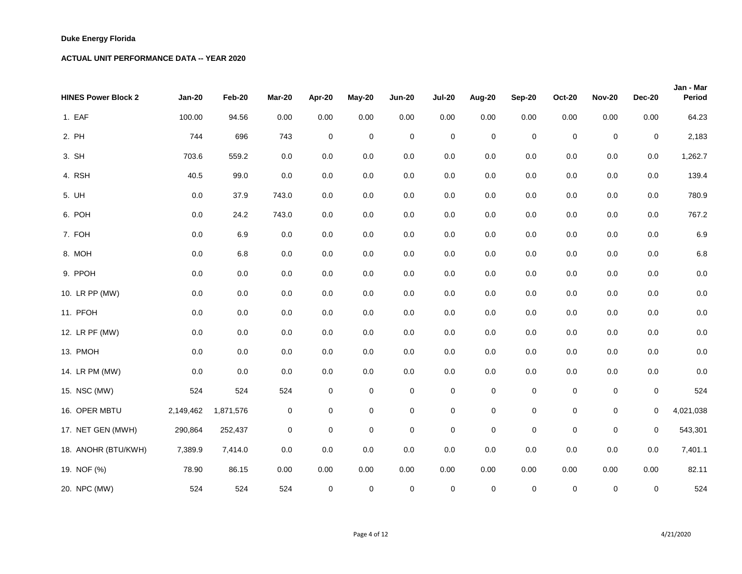| <b>HINES Power Block 2</b> | <b>Jan-20</b> | Feb-20    | <b>Mar-20</b> | Apr-20         | May-20         | <b>Jun-20</b>  | <b>Jul-20</b>    | Aug-20         | <b>Sep-20</b>  | <b>Oct-20</b> | <b>Nov-20</b>    | <b>Dec-20</b>  | Jan - Mar<br><b>Period</b> |
|----------------------------|---------------|-----------|---------------|----------------|----------------|----------------|------------------|----------------|----------------|---------------|------------------|----------------|----------------------------|
| 1. EAF                     | 100.00        | 94.56     | 0.00          | 0.00           | 0.00           | 0.00           | 0.00             | 0.00           | 0.00           | 0.00          | 0.00             | 0.00           | 64.23                      |
| 2. PH                      | 744           | 696       | 743           | $\mathbf 0$    | $\pmb{0}$      | $\overline{0}$ | $\mathbf 0$      | $\pmb{0}$      | $\overline{0}$ | $\pmb{0}$     | $\boldsymbol{0}$ | $\overline{0}$ | 2,183                      |
| 3. SH                      | 703.6         | 559.2     | 0.0           | 0.0            | $0.0\,$        | $0.0\,$        | 0.0              | 0.0            | $0.0\,$        | 0.0           | $0.0\,$          | 0.0            | 1,262.7                    |
| 4. RSH                     | 40.5          | 99.0      | 0.0           | 0.0            | 0.0            | $0.0\,$        | 0.0              | 0.0            | $0.0\,$        | 0.0           | $0.0\,$          | 0.0            | 139.4                      |
| 5. UH                      | $0.0\,$       | 37.9      | 743.0         | 0.0            | 0.0            | $0.0\,$        | 0.0              | 0.0            | $0.0\,$        | 0.0           | $0.0\,$          | 0.0            | 780.9                      |
| 6. POH                     | 0.0           | 24.2      | 743.0         | 0.0            | 0.0            | 0.0            | 0.0              | 0.0            | 0.0            | 0.0           | $0.0\,$          | 0.0            | 767.2                      |
| 7. FOH                     | $0.0\,$       | 6.9       | 0.0           | 0.0            | 0.0            | $0.0\,$        | 0.0              | 0.0            | 0.0            | 0.0           | $0.0\,$          | 0.0            | 6.9                        |
| 8. MOH                     | $0.0\,$       | 6.8       | 0.0           | 0.0            | $0.0\,$        | 0.0            | 0.0              | 0.0            | 0.0            | 0.0           | $0.0\,$          | 0.0            | 6.8                        |
| 9. PPOH                    | $0.0\,$       | 0.0       | 0.0           | 0.0            | $0.0\,$        | 0.0            | 0.0              | 0.0            | 0.0            | 0.0           | $0.0\,$          | 0.0            | 0.0                        |
| 10. LR PP (MW)             | 0.0           | 0.0       | 0.0           | 0.0            | $0.0\,$        | $0.0\,$        | 0.0              | 0.0            | $0.0\,$        | 0.0           | $0.0\,$          | 0.0            | 0.0                        |
| 11. PFOH                   | 0.0           | 0.0       | 0.0           | 0.0            | 0.0            | 0.0            | 0.0              | 0.0            | 0.0            | 0.0           | 0.0              | 0.0            | 0.0                        |
| 12. LR PF (MW)             | 0.0           | 0.0       | 0.0           | 0.0            | 0.0            | $0.0\,$        | 0.0              | 0.0            | $0.0\,$        | 0.0           | $0.0\,$          | 0.0            | 0.0                        |
| 13. PMOH                   | $0.0\,$       | 0.0       | 0.0           | 0.0            | $0.0\,$        | 0.0            | 0.0              | 0.0            | 0.0            | 0.0           | 0.0              | 0.0            | 0.0                        |
| 14. LR PM (MW)             | 0.0           | $0.0\,$   | $0.0\,$       | 0.0            | 0.0            | $0.0\,$        | 0.0              | 0.0            | $0.0\,$        | 0.0           | 0.0              | $0.0\,$        | 0.0                        |
| 15. NSC (MW)               | 524           | 524       | 524           | $\mathbf 0$    | $\mathbf{O}$   | $\overline{0}$ | $\boldsymbol{0}$ | $\mathbf 0$    | $\overline{0}$ | $\pmb{0}$     | $\overline{0}$   | $\mathbf 0$    | 524                        |
| 16. OPER MBTU              | 2,149,462     | 1,871,576 | $\pmb{0}$     | $\pmb{0}$      | $\mathbf{0}$   | $\overline{0}$ | $\mathbf 0$      | $\mathbf 0$    | $\overline{0}$ | $\mathbf 0$   | $\boldsymbol{0}$ | $\overline{0}$ | 4,021,038                  |
| 17. NET GEN (MWH)          | 290,864       | 252,437   | $\pmb{0}$     | $\pmb{0}$      | $\overline{0}$ | $\overline{0}$ | $\boldsymbol{0}$ | $\pmb{0}$      | $\overline{0}$ | $\mathbf 0$   | $\boldsymbol{0}$ | $\overline{0}$ | 543,301                    |
| 18. ANOHR (BTU/KWH)        | 7,389.9       | 7,414.0   | 0.0           | 0.0            | $0.0\,$        | $0.0\,$        | 0.0              | $0.0\,$        | $0.0\,$        | 0.0           | $0.0\,$          | $0.0\,$        | 7,401.1                    |
| 19. NOF (%)                | 78.90         | 86.15     | 0.00          | 0.00           | 0.00           | 0.00           | 0.00             | 0.00           | 0.00           | 0.00          | 0.00             | 0.00           | 82.11                      |
| 20. NPC (MW)               | 524           | 524       | 524           | $\overline{0}$ | $\overline{0}$ | $\overline{0}$ | $\mathbf 0$      | $\overline{0}$ | $\overline{0}$ | $\mathbf 0$   | $\mathbf 0$      | $\overline{0}$ | 524                        |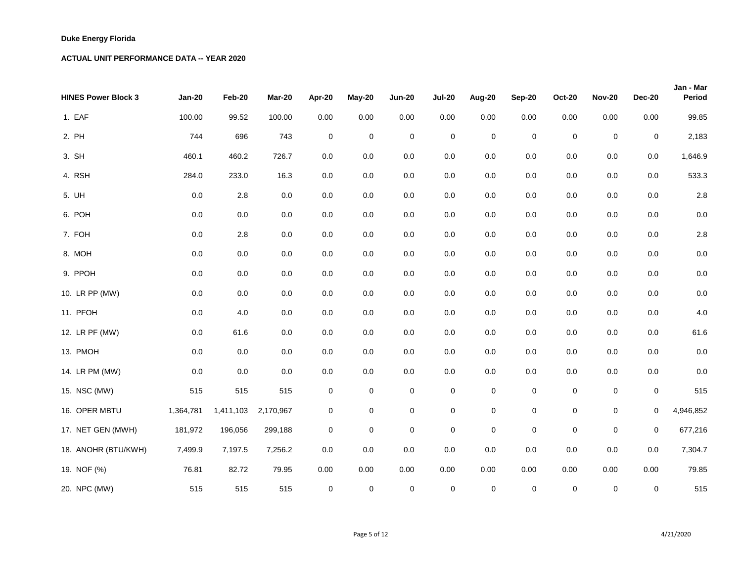| <b>HINES Power Block 3</b> | <b>Jan-20</b> | Feb-20    | <b>Mar-20</b> | Apr-20           | May-20           | <b>Jun-20</b>  | <b>Jul-20</b>    | Aug-20      | <b>Sep-20</b>  | <b>Oct-20</b>    | <b>Nov-20</b> | <b>Dec-20</b>  | Jan - Mar<br><b>Period</b> |
|----------------------------|---------------|-----------|---------------|------------------|------------------|----------------|------------------|-------------|----------------|------------------|---------------|----------------|----------------------------|
| 1. EAF                     | 100.00        | 99.52     | 100.00        | 0.00             | 0.00             | 0.00           | 0.00             | 0.00        | 0.00           | 0.00             | 0.00          | 0.00           | 99.85                      |
| 2. PH                      | 744           | 696       | 743           | $\mathbf 0$      | $\boldsymbol{0}$ | $\mathbf 0$    | $\boldsymbol{0}$ | $\pmb{0}$   | $\overline{0}$ | $\pmb{0}$        | $\pmb{0}$     | $\overline{0}$ | 2,183                      |
| 3. SH                      | 460.1         | 460.2     | 726.7         | 0.0              | 0.0              | $0.0\,$        | 0.0              | 0.0         | 0.0            | 0.0              | 0.0           | 0.0            | 1,646.9                    |
| 4. RSH                     | 284.0         | 233.0     | 16.3          | 0.0              | 0.0              | 0.0            | 0.0              | 0.0         | 0.0            | 0.0              | $0.0\,$       | 0.0            | 533.3                      |
| 5. UH                      | 0.0           | 2.8       | 0.0           | 0.0              | $0.0\,$          | 0.0            | 0.0              | 0.0         | 0.0            | 0.0              | $0.0\,$       | 0.0            | 2.8                        |
| 6. POH                     | 0.0           | 0.0       | 0.0           | 0.0              | 0.0              | 0.0            | 0.0              | 0.0         | 0.0            | 0.0              | $0.0\,$       | 0.0            | 0.0                        |
| 7. FOH                     | 0.0           | 2.8       | 0.0           | 0.0              | 0.0              | 0.0            | 0.0              | 0.0         | 0.0            | 0.0              | 0.0           | 0.0            | 2.8                        |
| 8. MOH                     | 0.0           | 0.0       | 0.0           | $0.0\,$          | $0.0\,$          | 0.0            | 0.0              | 0.0         | 0.0            | 0.0              | $0.0\,$       | 0.0            | 0.0                        |
| 9. PPOH                    | 0.0           | 0.0       | 0.0           | 0.0              | 0.0              | 0.0            | 0.0              | 0.0         | 0.0            | 0.0              | $0.0\,$       | 0.0            | 0.0                        |
| 10. LR PP (MW)             | 0.0           | 0.0       | $0.0\,$       | $0.0\,$          | $0.0\,$          | $0.0\,$        | 0.0              | 0.0         | 0.0            | 0.0              | $0.0\,$       | 0.0            | 0.0                        |
| 11. PFOH                   | 0.0           | 4.0       | 0.0           | $0.0\,$          | 0.0              | 0.0            | 0.0              | 0.0         | 0.0            | 0.0              | $0.0\,$       | 0.0            | 4.0                        |
| 12. LR PF (MW)             | 0.0           | 61.6      | 0.0           | $0.0\,$          | $0.0\,$          | 0.0            | 0.0              | 0.0         | 0.0            | 0.0              | $0.0\,$       | 0.0            | 61.6                       |
| 13. PMOH                   | 0.0           | 0.0       | 0.0           | 0.0              | 0.0              | 0.0            | 0.0              | 0.0         | 0.0            | 0.0              | 0.0           | 0.0            | 0.0                        |
| 14. LR PM (MW)             | 0.0           | $0.0\,$   | $0.0\,$       | 0.0              | 0.0              | 0.0            | 0.0              | 0.0         | $0.0\,$        | 0.0              | $0.0\,$       | 0.0            | 0.0                        |
| 15. NSC (MW)               | 515           | 515       | 515           | $\boldsymbol{0}$ | $\mathbf{0}$     | $\mathbf 0$    | $\boldsymbol{0}$ | $\mathbf 0$ | $\overline{0}$ | $\boldsymbol{0}$ | $\pmb{0}$     | $\overline{0}$ | 515                        |
| 16. OPER MBTU              | 1,364,781     | 1,411,103 | 2,170,967     | $\pmb{0}$        | $\mathbf 0$      | $\mathbf 0$    | $\pmb{0}$        | $\pmb{0}$   | $\overline{0}$ | $\boldsymbol{0}$ | $\pmb{0}$     | $\overline{0}$ | 4,946,852                  |
| 17. NET GEN (MWH)          | 181,972       | 196,056   | 299,188       | $\pmb{0}$        | $\boldsymbol{0}$ | $\pmb{0}$      | $\boldsymbol{0}$ | $\pmb{0}$   | $\overline{0}$ | $\pmb{0}$        | $\pmb{0}$     | $\overline{0}$ | 677,216                    |
| 18. ANOHR (BTU/KWH)        | 7,499.9       | 7,197.5   | 7,256.2       | $0.0\,$          | $0.0\,$          | $0.0\,$        | 0.0              | $0.0\,$     | 0.0            | 0.0              | $0.0\,$       | $0.0\,$        | 7,304.7                    |
| 19. NOF (%)                | 76.81         | 82.72     | 79.95         | 0.00             | 0.00             | 0.00           | 0.00             | 0.00        | 0.00           | 0.00             | 0.00          | 0.00           | 79.85                      |
| 20. NPC (MW)               | 515           | 515       | 515           | $\overline{0}$   | $\mathbf{0}$     | $\overline{0}$ | $\overline{0}$   | $\mathbf 0$ | $\overline{0}$ | $\mathbf 0$      | $\pmb{0}$     | $\overline{0}$ | 515                        |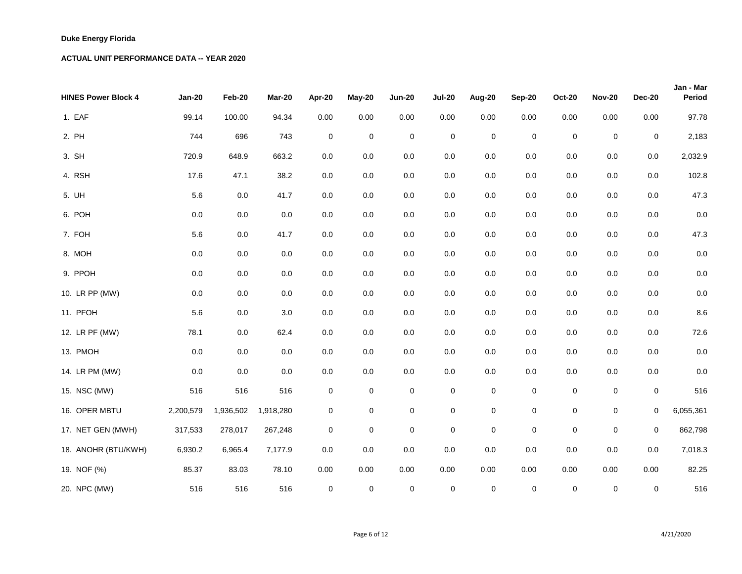| <b>HINES Power Block 4</b> | <b>Jan-20</b> | Feb-20    | <b>Mar-20</b> | Apr-20           | May-20           | <b>Jun-20</b>  | <b>Jul-20</b>    | Aug-20      | <b>Sep-20</b>  | <b>Oct-20</b>    | <b>Nov-20</b> | <b>Dec-20</b>  | Jan - Mar<br><b>Period</b> |
|----------------------------|---------------|-----------|---------------|------------------|------------------|----------------|------------------|-------------|----------------|------------------|---------------|----------------|----------------------------|
| 1. EAF                     | 99.14         | 100.00    | 94.34         | 0.00             | 0.00             | 0.00           | 0.00             | 0.00        | 0.00           | 0.00             | 0.00          | 0.00           | 97.78                      |
| 2. PH                      | 744           | 696       | 743           | $\mathbf 0$      | $\boldsymbol{0}$ | $\mathbf 0$    | $\mathbf 0$      | $\pmb{0}$   | $\overline{0}$ | $\pmb{0}$        | $\pmb{0}$     | $\overline{0}$ | 2,183                      |
| 3. SH                      | 720.9         | 648.9     | 663.2         | 0.0              | 0.0              | $0.0\,$        | 0.0              | 0.0         | 0.0            | 0.0              | 0.0           | 0.0            | 2,032.9                    |
| 4. RSH                     | 17.6          | 47.1      | 38.2          | 0.0              | 0.0              | 0.0            | 0.0              | 0.0         | 0.0            | 0.0              | $0.0\,$       | 0.0            | 102.8                      |
| 5. UH                      | 5.6           | 0.0       | 41.7          | 0.0              | $0.0\,$          | 0.0            | 0.0              | 0.0         | 0.0            | 0.0              | $0.0\,$       | 0.0            | 47.3                       |
| 6. POH                     | 0.0           | 0.0       | 0.0           | 0.0              | 0.0              | 0.0            | 0.0              | 0.0         | 0.0            | 0.0              | $0.0\,$       | 0.0            | 0.0                        |
| 7. FOH                     | 5.6           | 0.0       | 41.7          | 0.0              | 0.0              | 0.0            | 0.0              | 0.0         | 0.0            | 0.0              | $0.0\,$       | 0.0            | 47.3                       |
| 8. MOH                     | 0.0           | 0.0       | 0.0           | $0.0\,$          | $0.0\,$          | 0.0            | 0.0              | 0.0         | 0.0            | 0.0              | $0.0\,$       | 0.0            | 0.0                        |
| 9. PPOH                    | 0.0           | 0.0       | 0.0           | 0.0              | 0.0              | 0.0            | 0.0              | 0.0         | 0.0            | 0.0              | $0.0\,$       | 0.0            | 0.0                        |
| 10. LR PP (MW)             | 0.0           | 0.0       | $0.0\,$       | $0.0\,$          | $0.0\,$          | $0.0\,$        | 0.0              | 0.0         | 0.0            | 0.0              | $0.0\,$       | 0.0            | 0.0                        |
| 11. PFOH                   | 5.6           | 0.0       | 3.0           | $0.0\,$          | 0.0              | 0.0            | 0.0              | 0.0         | 0.0            | 0.0              | $0.0\,$       | 0.0            | 8.6                        |
| 12. LR PF (MW)             | 78.1          | 0.0       | 62.4          | $0.0\,$          | $0.0\,$          | 0.0            | 0.0              | 0.0         | 0.0            | 0.0              | $0.0\,$       | 0.0            | 72.6                       |
| 13. PMOH                   | 0.0           | 0.0       | 0.0           | 0.0              | 0.0              | 0.0            | 0.0              | 0.0         | 0.0            | 0.0              | 0.0           | 0.0            | 0.0                        |
| 14. LR PM (MW)             | 0.0           | 0.0       | $0.0\,$       | 0.0              | 0.0              | 0.0            | 0.0              | 0.0         | $0.0\,$        | 0.0              | $0.0\,$       | 0.0            | 0.0                        |
| 15. NSC (MW)               | 516           | 516       | 516           | $\boldsymbol{0}$ | $\overline{0}$   | $\mathbf 0$    | $\boldsymbol{0}$ | $\mathbf 0$ | $\overline{0}$ | $\boldsymbol{0}$ | $\pmb{0}$     | $\overline{0}$ | 516                        |
| 16. OPER MBTU              | 2,200,579     | 1,936,502 | 1,918,280     | $\boldsymbol{0}$ | $\mathbf 0$      | $\mathbf 0$    | $\pmb{0}$        | $\pmb{0}$   | $\overline{0}$ | $\boldsymbol{0}$ | $\pmb{0}$     | $\overline{0}$ | 6,055,361                  |
| 17. NET GEN (MWH)          | 317,533       | 278,017   | 267,248       | $\pmb{0}$        | $\boldsymbol{0}$ | $\pmb{0}$      | $\boldsymbol{0}$ | $\pmb{0}$   | $\overline{0}$ | $\pmb{0}$        | $\pmb{0}$     | $\overline{0}$ | 862,798                    |
| 18. ANOHR (BTU/KWH)        | 6,930.2       | 6,965.4   | 7,177.9       | $0.0\,$          | $0.0\,$          | $0.0\,$        | 0.0              | $0.0\,$     | $0.0\,$        | 0.0              | $0.0\,$       | $0.0\,$        | 7,018.3                    |
| 19. NOF (%)                | 85.37         | 83.03     | 78.10         | 0.00             | 0.00             | 0.00           | 0.00             | 0.00        | 0.00           | 0.00             | 0.00          | 0.00           | 82.25                      |
| 20. NPC (MW)               | 516           | 516       | 516           | $\overline{0}$   | $\mathbf{0}$     | $\overline{0}$ | $\overline{0}$   | $\mathbf 0$ | $\overline{0}$ | $\mathbf 0$      | $\pmb{0}$     | $\overline{0}$ | 516                        |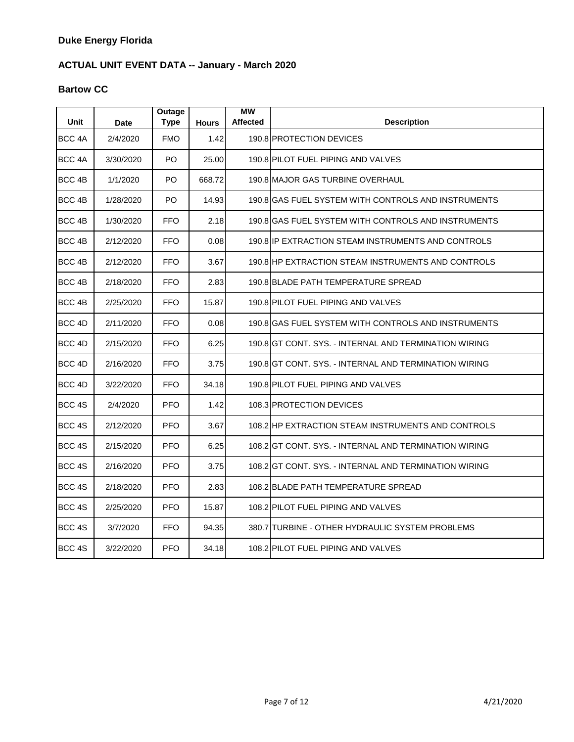#### **Bartow CC**

| <b>Unit</b>       | <b>Date</b> | Outage<br><b>Type</b> | <b>Hours</b> | <b>MW</b><br><b>Affected</b> | <b>Description</b>                                    |
|-------------------|-------------|-----------------------|--------------|------------------------------|-------------------------------------------------------|
| BCC <sub>4A</sub> | 2/4/2020    | <b>FMO</b>            | 1.42         |                              | 190.8 PROTECTION DEVICES                              |
| BCC 4A            | 3/30/2020   | PO.                   | 25.00        |                              | 190.8 PILOT FUEL PIPING AND VALVES                    |
| BCC 4B            | 1/1/2020    | PO                    | 668.72       |                              | 190.8 MAJOR GAS TURBINE OVERHAUL                      |
| BCC <sub>4B</sub> | 1/28/2020   | PO                    | 14.93        |                              | 190.8 GAS FUEL SYSTEM WITH CONTROLS AND INSTRUMENTS   |
| BCC <sub>4B</sub> | 1/30/2020   | <b>FFO</b>            | 2.18         |                              | 190.8 GAS FUEL SYSTEM WITH CONTROLS AND INSTRUMENTS   |
| BCC <sub>4B</sub> | 2/12/2020   | <b>FFO</b>            | 0.08         |                              | 190.8 IP EXTRACTION STEAM INSTRUMENTS AND CONTROLS    |
| BCC 4B            | 2/12/2020   | <b>FFO</b>            | 3.67         |                              | 190.8 HP EXTRACTION STEAM INSTRUMENTS AND CONTROLS    |
| BCC <sub>4B</sub> | 2/18/2020   | <b>FFO</b>            | 2.83         |                              | 190.8 BLADE PATH TEMPERATURE SPREAD                   |
| BCC <sub>4B</sub> | 2/25/2020   | <b>FFO</b>            | 15.87        |                              | 190.8 PILOT FUEL PIPING AND VALVES                    |
| BCC <sub>4D</sub> | 2/11/2020   | <b>FFO</b>            | 0.08         |                              | 190.8 GAS FUEL SYSTEM WITH CONTROLS AND INSTRUMENTS   |
| BCC 4D            | 2/15/2020   | <b>FFO</b>            | 6.25         |                              | 190.8 GT CONT. SYS. - INTERNAL AND TERMINATION WIRING |
| BCC <sub>4D</sub> | 2/16/2020   | <b>FFO</b>            | 3.75         |                              | 190.8 GT CONT. SYS. - INTERNAL AND TERMINATION WIRING |
| BCC 4D            | 3/22/2020   | <b>FFO</b>            | 34.18        |                              | 190.8 PILOT FUEL PIPING AND VALVES                    |
| BCC 4S            | 2/4/2020    | <b>PFO</b>            | 1.42         |                              | 108.3 PROTECTION DEVICES                              |
| BCC 4S            | 2/12/2020   | <b>PFO</b>            | 3.67         |                              | 108.2 HP EXTRACTION STEAM INSTRUMENTS AND CONTROLS    |
| BCC 4S            | 2/15/2020   | <b>PFO</b>            | 6.25         |                              | 108.2 GT CONT. SYS. - INTERNAL AND TERMINATION WIRING |
| BCC 4S            | 2/16/2020   | <b>PFO</b>            | 3.75         |                              | 108.2 GT CONT. SYS. - INTERNAL AND TERMINATION WIRING |
| BCC 4S            | 2/18/2020   | <b>PFO</b>            | 2.83         |                              | 108.2 BLADE PATH TEMPERATURE SPREAD                   |
| BCC 4S            | 2/25/2020   | <b>PFO</b>            | 15.87        |                              | 108.2 PILOT FUEL PIPING AND VALVES                    |
| BCC 4S            | 3/7/2020    | <b>FFO</b>            | 94.35        |                              | 380.7 TURBINE - OTHER HYDRAULIC SYSTEM PROBLEMS       |
| BCC 4S            | 3/22/2020   | <b>PFO</b>            | 34.18        |                              | 108.2 PILOT FUEL PIPING AND VALVES                    |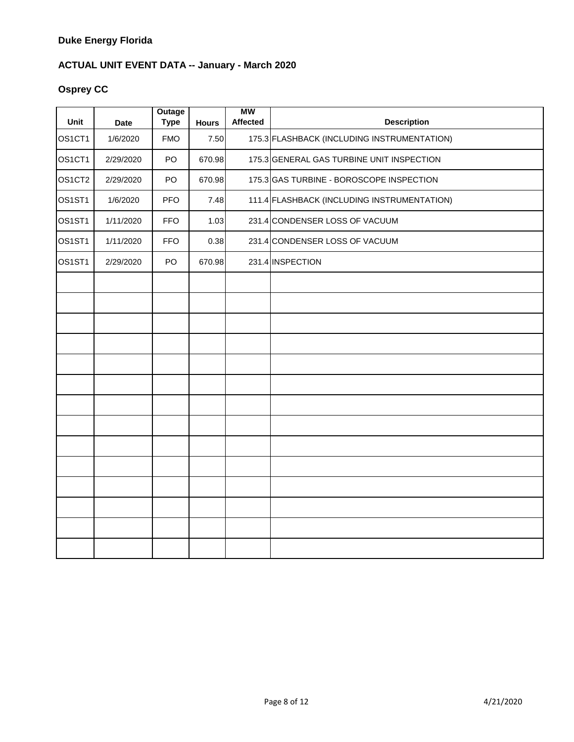### **Osprey CC**

| Unit                            | <b>Date</b> | Outage<br><b>Type</b> | <b>Hours</b> | <b>MW</b><br><b>Affected</b> | <b>Description</b>                          |
|---------------------------------|-------------|-----------------------|--------------|------------------------------|---------------------------------------------|
| OS <sub>1</sub> CT <sub>1</sub> | 1/6/2020    | <b>FMO</b>            | 7.50         |                              | 175.3 FLASHBACK (INCLUDING INSTRUMENTATION) |
| OS <sub>1</sub> CT <sub>1</sub> | 2/29/2020   | PO                    | 670.98       |                              | 175.3 GENERAL GAS TURBINE UNIT INSPECTION   |
| OS <sub>1</sub> CT <sub>2</sub> | 2/29/2020   | PO                    | 670.98       |                              | 175.3 GAS TURBINE - BOROSCOPE INSPECTION    |
| OS <sub>1</sub> ST <sub>1</sub> | 1/6/2020    | <b>PFO</b>            | 7.48         |                              | 111.4 FLASHBACK (INCLUDING INSTRUMENTATION) |
| OS <sub>1</sub> ST <sub>1</sub> | 1/11/2020   | <b>FFO</b>            | 1.03         |                              | 231.4 CONDENSER LOSS OF VACUUM              |
| OS <sub>1</sub> ST <sub>1</sub> | 1/11/2020   | <b>FFO</b>            | 0.38         |                              | 231.4 CONDENSER LOSS OF VACUUM              |
| OS <sub>1</sub> ST <sub>1</sub> | 2/29/2020   | PO                    | 670.98       |                              | 231.4 INSPECTION                            |
|                                 |             |                       |              |                              |                                             |
|                                 |             |                       |              |                              |                                             |
|                                 |             |                       |              |                              |                                             |
|                                 |             |                       |              |                              |                                             |
|                                 |             |                       |              |                              |                                             |
|                                 |             |                       |              |                              |                                             |
|                                 |             |                       |              |                              |                                             |
|                                 |             |                       |              |                              |                                             |
|                                 |             |                       |              |                              |                                             |
|                                 |             |                       |              |                              |                                             |
|                                 |             |                       |              |                              |                                             |
|                                 |             |                       |              |                              |                                             |
|                                 |             |                       |              |                              |                                             |
|                                 |             |                       |              |                              |                                             |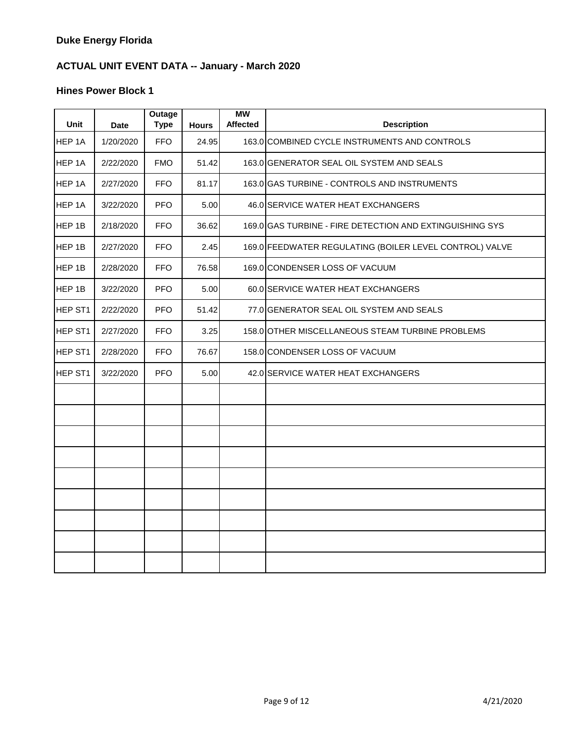| <b>Unit</b>    | <b>Date</b> | Outage<br><b>Type</b> | <b>Hours</b> | <b>MW</b><br><b>Affected</b> | <b>Description</b>                                       |
|----------------|-------------|-----------------------|--------------|------------------------------|----------------------------------------------------------|
| HEP 1A         | 1/20/2020   | <b>FFO</b>            | 24.95        |                              | 163.0 COMBINED CYCLE INSTRUMENTS AND CONTROLS            |
| HEP 1A         | 2/22/2020   | <b>FMO</b>            | 51.42        |                              | 163.0 GENERATOR SEAL OIL SYSTEM AND SEALS                |
| HEP 1A         | 2/27/2020   | <b>FFO</b>            | 81.17        |                              | 163.0 GAS TURBINE - CONTROLS AND INSTRUMENTS             |
| HEP 1A         | 3/22/2020   | <b>PFO</b>            | 5.00         |                              | 46.0 SERVICE WATER HEAT EXCHANGERS                       |
| HEP 1B         | 2/18/2020   | <b>FFO</b>            | 36.62        |                              | 169.0 GAS TURBINE - FIRE DETECTION AND EXTINGUISHING SYS |
| HEP 1B         | 2/27/2020   | <b>FFO</b>            | 2.45         |                              | 169.0 FEEDWATER REGULATING (BOILER LEVEL CONTROL) VALVE  |
| HEP 1B         | 2/28/2020   | <b>FFO</b>            | 76.58        |                              | 169.0 CONDENSER LOSS OF VACUUM                           |
| HEP 1B         | 3/22/2020   | <b>PFO</b>            | 5.00         |                              | 60.0 SERVICE WATER HEAT EXCHANGERS                       |
| HEP ST1        | 2/22/2020   | <b>PFO</b>            | 51.42        |                              | 77.0 GENERATOR SEAL OIL SYSTEM AND SEALS                 |
| HEP ST1        | 2/27/2020   | <b>FFO</b>            | 3.25         |                              | 158.0 OTHER MISCELLANEOUS STEAM TURBINE PROBLEMS         |
| <b>HEP ST1</b> | 2/28/2020   | <b>FFO</b>            | 76.67        |                              | 158.0 CONDENSER LOSS OF VACUUM                           |
| HEP ST1        | 3/22/2020   | <b>PFO</b>            | 5.00         |                              | 42.0 SERVICE WATER HEAT EXCHANGERS                       |
|                |             |                       |              |                              |                                                          |
|                |             |                       |              |                              |                                                          |
|                |             |                       |              |                              |                                                          |
|                |             |                       |              |                              |                                                          |
|                |             |                       |              |                              |                                                          |
|                |             |                       |              |                              |                                                          |
|                |             |                       |              |                              |                                                          |
|                |             |                       |              |                              |                                                          |
|                |             |                       |              |                              |                                                          |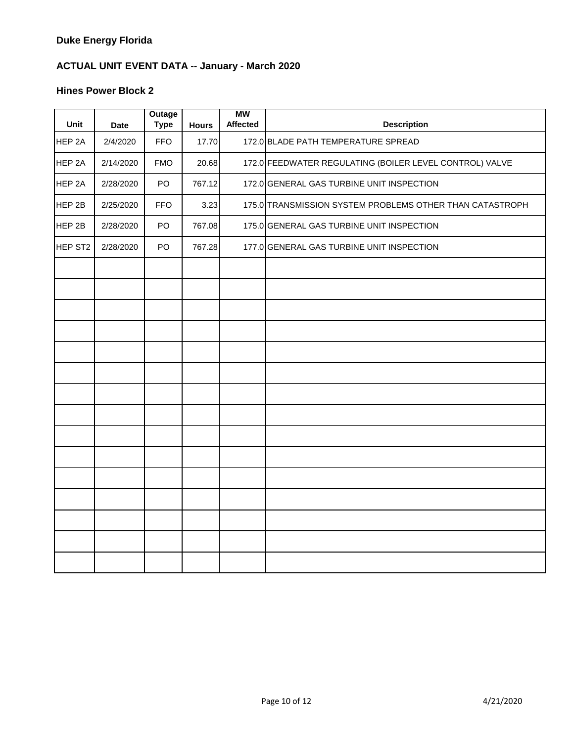| Unit                | <b>Date</b> | <b>Outage</b><br><b>Type</b> | <b>Hours</b> | <b>MW</b><br><b>Affected</b> | <b>Description</b>                                       |
|---------------------|-------------|------------------------------|--------------|------------------------------|----------------------------------------------------------|
| HEP 2A              | 2/4/2020    | <b>FFO</b>                   | 17.70        |                              | 172.0 BLADE PATH TEMPERATURE SPREAD                      |
| HEP 2A              | 2/14/2020   | <b>FMO</b>                   | 20.68        |                              | 172.0 FEEDWATER REGULATING (BOILER LEVEL CONTROL) VALVE  |
| HEP 2A              | 2/28/2020   | PO                           | 767.12       |                              | 172.0 GENERAL GAS TURBINE UNIT INSPECTION                |
| HEP 2B              | 2/25/2020   | <b>FFO</b>                   | 3.23         |                              | 175.0 TRANSMISSION SYSTEM PROBLEMS OTHER THAN CATASTROPH |
| HEP 2B              | 2/28/2020   | <b>PO</b>                    | 767.08       |                              | 175.0 GENERAL GAS TURBINE UNIT INSPECTION                |
| HEP ST <sub>2</sub> | 2/28/2020   | <b>PO</b>                    | 767.28       |                              | 177.0 GENERAL GAS TURBINE UNIT INSPECTION                |
|                     |             |                              |              |                              |                                                          |
|                     |             |                              |              |                              |                                                          |
|                     |             |                              |              |                              |                                                          |
|                     |             |                              |              |                              |                                                          |
|                     |             |                              |              |                              |                                                          |
|                     |             |                              |              |                              |                                                          |
|                     |             |                              |              |                              |                                                          |
|                     |             |                              |              |                              |                                                          |
|                     |             |                              |              |                              |                                                          |
|                     |             |                              |              |                              |                                                          |
|                     |             |                              |              |                              |                                                          |
|                     |             |                              |              |                              |                                                          |
|                     |             |                              |              |                              |                                                          |
|                     |             |                              |              |                              |                                                          |
|                     |             |                              |              |                              |                                                          |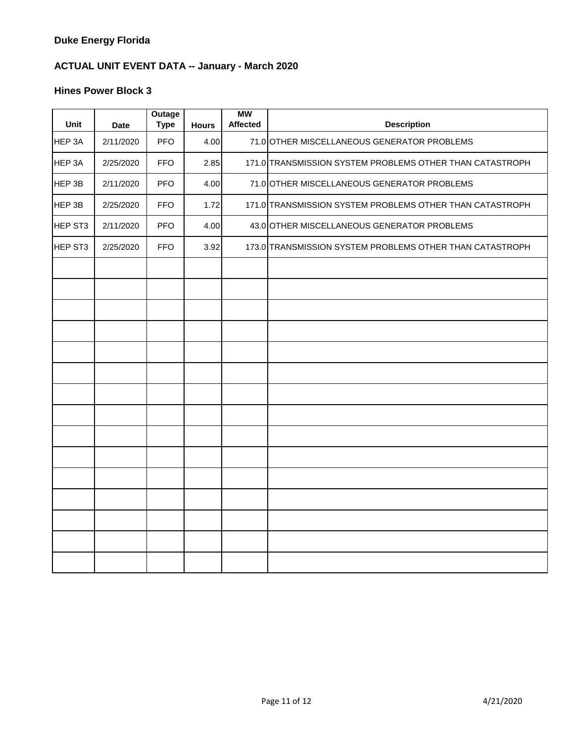| Unit    | <b>Date</b> | Outage<br><b>Type</b> | <b>Hours</b> | <b>MW</b><br><b>Affected</b> | <b>Description</b>                                       |
|---------|-------------|-----------------------|--------------|------------------------------|----------------------------------------------------------|
| HEP 3A  | 2/11/2020   | <b>PFO</b>            | 4.00         |                              | 71.0 OTHER MISCELLANEOUS GENERATOR PROBLEMS              |
| HEP 3A  | 2/25/2020   | <b>FFO</b>            | 2.85         |                              | 171.0 TRANSMISSION SYSTEM PROBLEMS OTHER THAN CATASTROPH |
| HEP 3B  | 2/11/2020   | <b>PFO</b>            | 4.00         |                              | 71.0 OTHER MISCELLANEOUS GENERATOR PROBLEMS              |
| HEP 3B  | 2/25/2020   | <b>FFO</b>            | 1.72         |                              | 171.0 TRANSMISSION SYSTEM PROBLEMS OTHER THAN CATASTROPH |
| HEP ST3 | 2/11/2020   | <b>PFO</b>            | 4.00         |                              | 43.0 OTHER MISCELLANEOUS GENERATOR PROBLEMS              |
| HEP ST3 | 2/25/2020   | <b>FFO</b>            | 3.92         |                              | 173.0 TRANSMISSION SYSTEM PROBLEMS OTHER THAN CATASTROPH |
|         |             |                       |              |                              |                                                          |
|         |             |                       |              |                              |                                                          |
|         |             |                       |              |                              |                                                          |
|         |             |                       |              |                              |                                                          |
|         |             |                       |              |                              |                                                          |
|         |             |                       |              |                              |                                                          |
|         |             |                       |              |                              |                                                          |
|         |             |                       |              |                              |                                                          |
|         |             |                       |              |                              |                                                          |
|         |             |                       |              |                              |                                                          |
|         |             |                       |              |                              |                                                          |
|         |             |                       |              |                              |                                                          |
|         |             |                       |              |                              |                                                          |
|         |             |                       |              |                              |                                                          |
|         |             |                       |              |                              |                                                          |